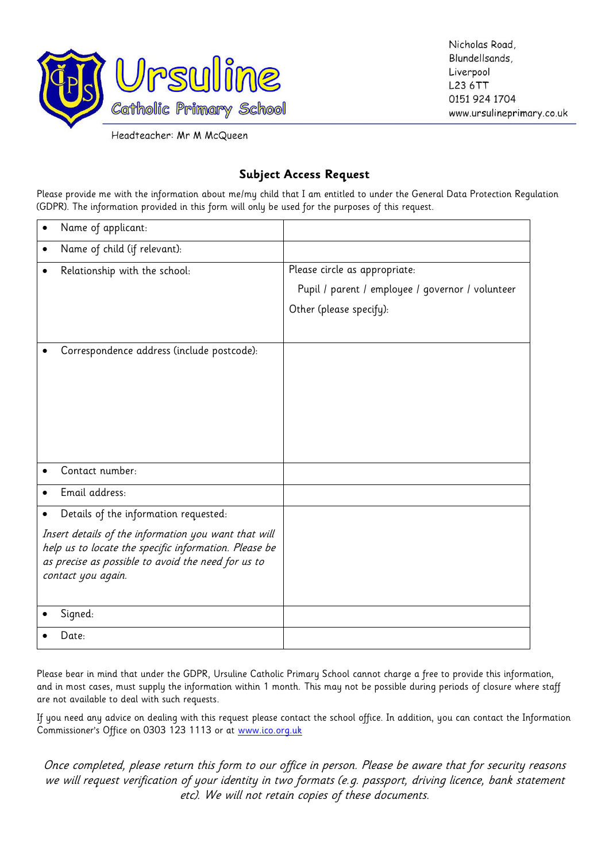

Nicholas Road, Blundellsands, Liverpool L23 6TT 0151 924 1704 www.ursulineprimary.co.uk

Headteacher: Mr M McQueen

## **Subject Access Request**

Please provide me with the information about me/my child that I am entitled to under the General Data Protection Regulation (GDPR). The information provided in this form will only be used for the purposes of this request.

| Name of applicant:                                                                                          |                                                  |
|-------------------------------------------------------------------------------------------------------------|--------------------------------------------------|
| Name of child (if relevant):<br>٠                                                                           |                                                  |
| Relationship with the school:                                                                               | Please circle as appropriate:                    |
|                                                                                                             | Pupil / parent / employee / governor / volunteer |
|                                                                                                             | Other (please specify):                          |
|                                                                                                             |                                                  |
| Correspondence address (include postcode):                                                                  |                                                  |
|                                                                                                             |                                                  |
|                                                                                                             |                                                  |
|                                                                                                             |                                                  |
|                                                                                                             |                                                  |
|                                                                                                             |                                                  |
| Contact number:                                                                                             |                                                  |
| Email address:                                                                                              |                                                  |
| Details of the information requested:                                                                       |                                                  |
| Insert details of the information you want that will                                                        |                                                  |
| help us to locate the specific information. Please be<br>as precise as possible to avoid the need for us to |                                                  |
| contact you again.                                                                                          |                                                  |
|                                                                                                             |                                                  |
| Signed:                                                                                                     |                                                  |
| Date:                                                                                                       |                                                  |

Please bear in mind that under the GDPR, Ursuline Catholic Primary School cannot charge a free to provide this information, and in most cases, must supply the information within 1 month. This may not be possible during periods of closure where staff are not available to deal with such requests.

If you need any advice on dealing with this request please contact the school office. In addition, you can contact the Information Commissioner's Office on 0303 123 1113 or at [www.ico.org.uk](http://www.ico.org.uk/)

Once completed, please return this form to our office in person. Please be aware that for security reasons we will request verification of your identity in two formats (e.g. passport, driving licence, bank statement etc). We will not retain copies of these documents.